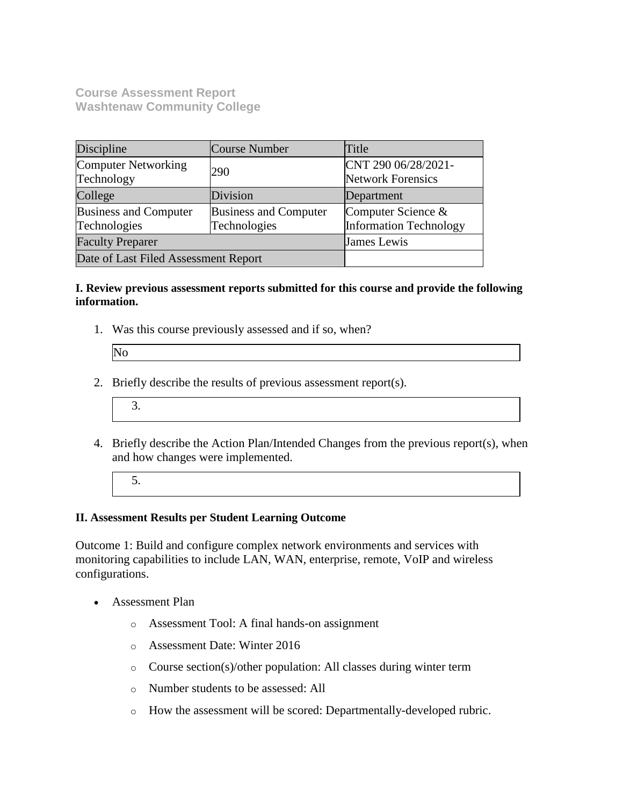**Course Assessment Report Washtenaw Community College**

| Discipline                                   | Course Number                                | Title                                               |
|----------------------------------------------|----------------------------------------------|-----------------------------------------------------|
| Computer Networking<br>Technology            | 290                                          | CNT 290 06/28/2021-<br><b>Network Forensics</b>     |
| College                                      | Division                                     | Department                                          |
| <b>Business and Computer</b><br>Technologies | <b>Business and Computer</b><br>Technologies | Computer Science &<br><b>Information Technology</b> |
| <b>Faculty Preparer</b>                      |                                              | James Lewis                                         |
| Date of Last Filed Assessment Report         |                                              |                                                     |

## **I. Review previous assessment reports submitted for this course and provide the following information.**

1. Was this course previously assessed and if so, when?

| N <sub>0</sub> |  |  |
|----------------|--|--|

- 2. Briefly describe the results of previous assessment report(s).
	- 3.
- 4. Briefly describe the Action Plan/Intended Changes from the previous report(s), when and how changes were implemented.
	- 5.

## **II. Assessment Results per Student Learning Outcome**

Outcome 1: Build and configure complex network environments and services with monitoring capabilities to include LAN, WAN, enterprise, remote, VoIP and wireless configurations.

- Assessment Plan
	- o Assessment Tool: A final hands-on assignment
	- o Assessment Date: Winter 2016
	- o Course section(s)/other population: All classes during winter term
	- o Number students to be assessed: All
	- o How the assessment will be scored: Departmentally-developed rubric.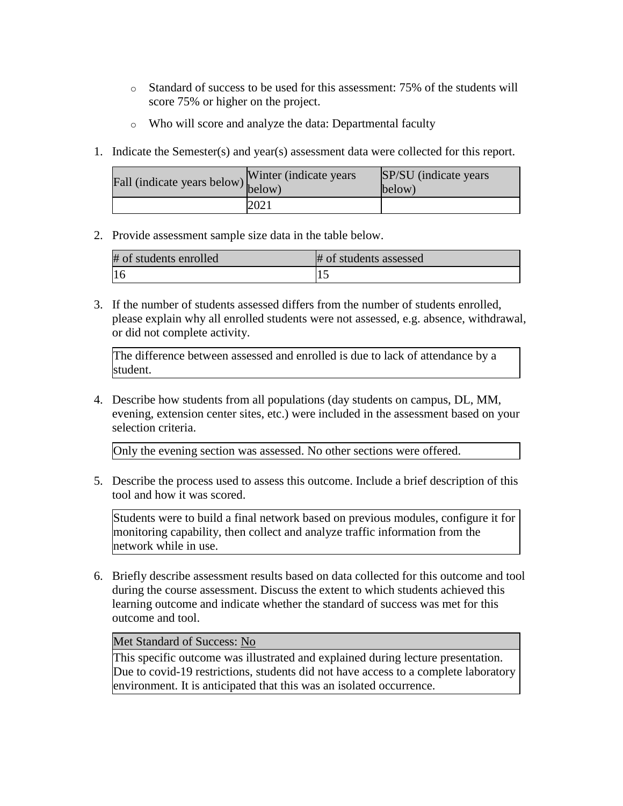- o Standard of success to be used for this assessment: 75% of the students will score 75% or higher on the project.
- o Who will score and analyze the data: Departmental faculty
- 1. Indicate the Semester(s) and year(s) assessment data were collected for this report.

| rall (indicate years below) below) | Winter (indicate years) | SP/SU (indicate years)<br>below) |
|------------------------------------|-------------------------|----------------------------------|
|                                    | 2021                    |                                  |

2. Provide assessment sample size data in the table below.

| # of students enrolled | # of students assessed |
|------------------------|------------------------|
|                        |                        |

3. If the number of students assessed differs from the number of students enrolled, please explain why all enrolled students were not assessed, e.g. absence, withdrawal, or did not complete activity.

The difference between assessed and enrolled is due to lack of attendance by a student.

4. Describe how students from all populations (day students on campus, DL, MM, evening, extension center sites, etc.) were included in the assessment based on your selection criteria.

Only the evening section was assessed. No other sections were offered.

5. Describe the process used to assess this outcome. Include a brief description of this tool and how it was scored.

Students were to build a final network based on previous modules, configure it for monitoring capability, then collect and analyze traffic information from the network while in use.

6. Briefly describe assessment results based on data collected for this outcome and tool during the course assessment. Discuss the extent to which students achieved this learning outcome and indicate whether the standard of success was met for this outcome and tool.

Met Standard of Success: No

This specific outcome was illustrated and explained during lecture presentation. Due to covid-19 restrictions, students did not have access to a complete laboratory environment. It is anticipated that this was an isolated occurrence.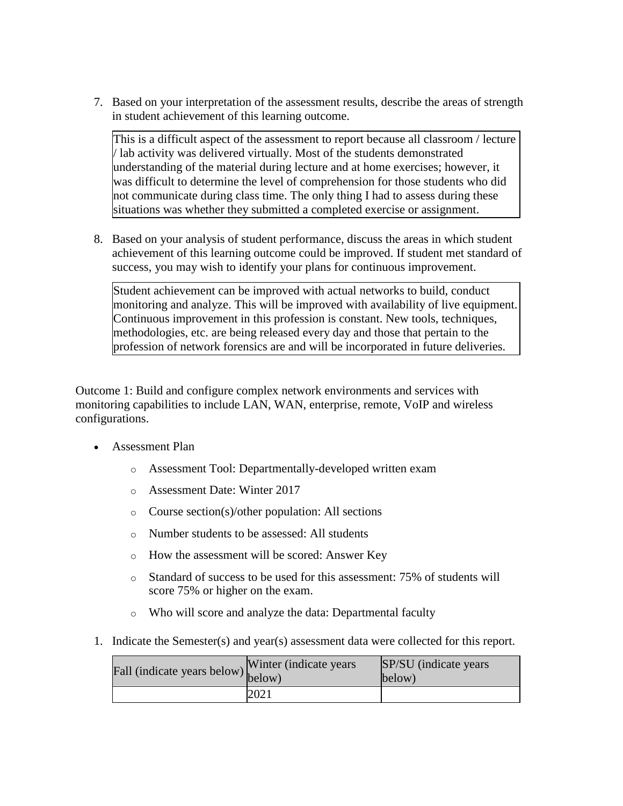7. Based on your interpretation of the assessment results, describe the areas of strength in student achievement of this learning outcome.

This is a difficult aspect of the assessment to report because all classroom / lecture / lab activity was delivered virtually. Most of the students demonstrated understanding of the material during lecture and at home exercises; however, it was difficult to determine the level of comprehension for those students who did not communicate during class time. The only thing I had to assess during these situations was whether they submitted a completed exercise or assignment.

8. Based on your analysis of student performance, discuss the areas in which student achievement of this learning outcome could be improved. If student met standard of success, you may wish to identify your plans for continuous improvement.

Student achievement can be improved with actual networks to build, conduct monitoring and analyze. This will be improved with availability of live equipment. Continuous improvement in this profession is constant. New tools, techniques, methodologies, etc. are being released every day and those that pertain to the profession of network forensics are and will be incorporated in future deliveries.

Outcome 1: Build and configure complex network environments and services with monitoring capabilities to include LAN, WAN, enterprise, remote, VoIP and wireless configurations.

- Assessment Plan
	- o Assessment Tool: Departmentally-developed written exam
	- o Assessment Date: Winter 2017
	- o Course section(s)/other population: All sections
	- o Number students to be assessed: All students
	- o How the assessment will be scored: Answer Key
	- o Standard of success to be used for this assessment: 75% of students will score 75% or higher on the exam.
	- o Who will score and analyze the data: Departmental faculty
- 1. Indicate the Semester(s) and year(s) assessment data were collected for this report.

| rall (indicate years below) below) | Winter (indicate years) | SP/SU (indicate years)<br>below) |
|------------------------------------|-------------------------|----------------------------------|
|                                    | 2021                    |                                  |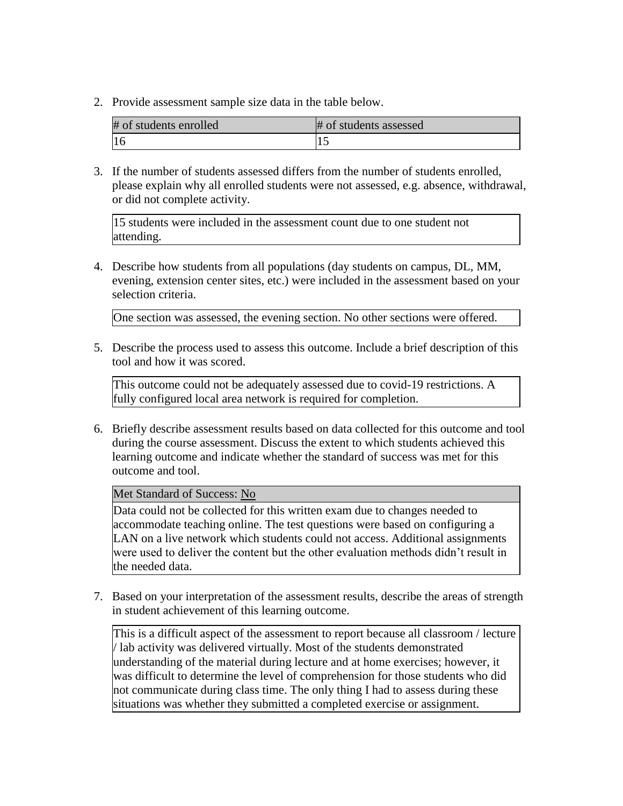2. Provide assessment sample size data in the table below.

| # of students enrolled | # of students assessed |
|------------------------|------------------------|
|                        |                        |

3. If the number of students assessed differs from the number of students enrolled, please explain why all enrolled students were not assessed, e.g. absence, withdrawal, or did not complete activity.

15 students were included in the assessment count due to one student not attending.

4. Describe how students from all populations (day students on campus, DL, MM, evening, extension center sites, etc.) were included in the assessment based on your selection criteria.

One section was assessed, the evening section. No other sections were offered.

5. Describe the process used to assess this outcome. Include a brief description of this tool and how it was scored.

This outcome could not be adequately assessed due to covid-19 restrictions. A fully configured local area network is required for completion.

6. Briefly describe assessment results based on data collected for this outcome and tool during the course assessment. Discuss the extent to which students achieved this learning outcome and indicate whether the standard of success was met for this outcome and tool.

Met Standard of Success: No

Data could not be collected for this written exam due to changes needed to accommodate teaching online. The test questions were based on configuring a LAN on a live network which students could not access. Additional assignments were used to deliver the content but the other evaluation methods didn't result in the needed data.

7. Based on your interpretation of the assessment results, describe the areas of strength in student achievement of this learning outcome.

This is a difficult aspect of the assessment to report because all classroom / lecture / lab activity was delivered virtually. Most of the students demonstrated understanding of the material during lecture and at home exercises; however, it was difficult to determine the level of comprehension for those students who did not communicate during class time. The only thing I had to assess during these situations was whether they submitted a completed exercise or assignment.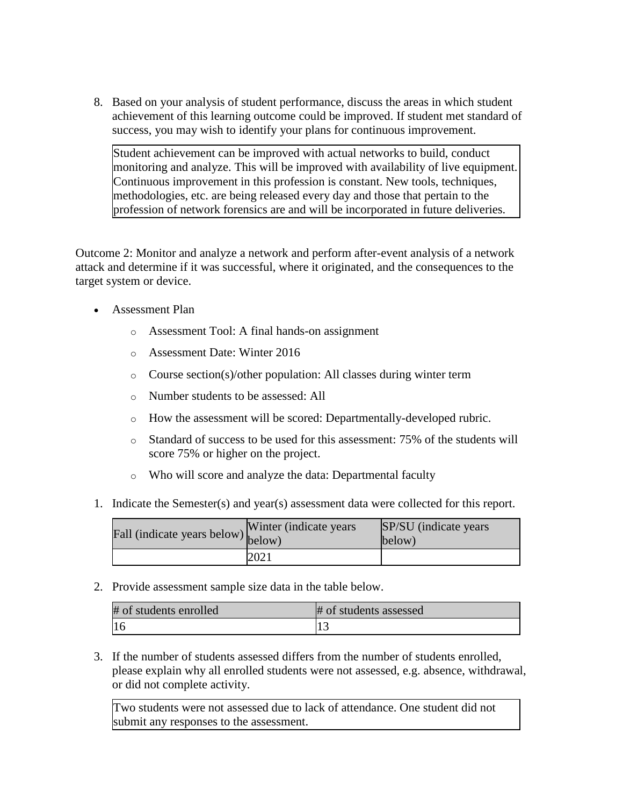8. Based on your analysis of student performance, discuss the areas in which student achievement of this learning outcome could be improved. If student met standard of success, you may wish to identify your plans for continuous improvement.

Student achievement can be improved with actual networks to build, conduct monitoring and analyze. This will be improved with availability of live equipment. Continuous improvement in this profession is constant. New tools, techniques, methodologies, etc. are being released every day and those that pertain to the profession of network forensics are and will be incorporated in future deliveries.

Outcome 2: Monitor and analyze a network and perform after-event analysis of a network attack and determine if it was successful, where it originated, and the consequences to the target system or device.

- Assessment Plan
	- o Assessment Tool: A final hands-on assignment
	- o Assessment Date: Winter 2016
	- o Course section(s)/other population: All classes during winter term
	- o Number students to be assessed: All
	- o How the assessment will be scored: Departmentally-developed rubric.
	- o Standard of success to be used for this assessment: 75% of the students will score 75% or higher on the project.
	- o Who will score and analyze the data: Departmental faculty
- 1. Indicate the Semester(s) and year(s) assessment data were collected for this report.

| Fall (indicate years below) below) | Winter (indicate years) | SP/SU (indicate years)<br>below) |
|------------------------------------|-------------------------|----------------------------------|
|                                    | 2021                    |                                  |

2. Provide assessment sample size data in the table below.

| # of students enrolled | # of students assessed |
|------------------------|------------------------|
| 16                     |                        |

3. If the number of students assessed differs from the number of students enrolled, please explain why all enrolled students were not assessed, e.g. absence, withdrawal, or did not complete activity.

Two students were not assessed due to lack of attendance. One student did not submit any responses to the assessment.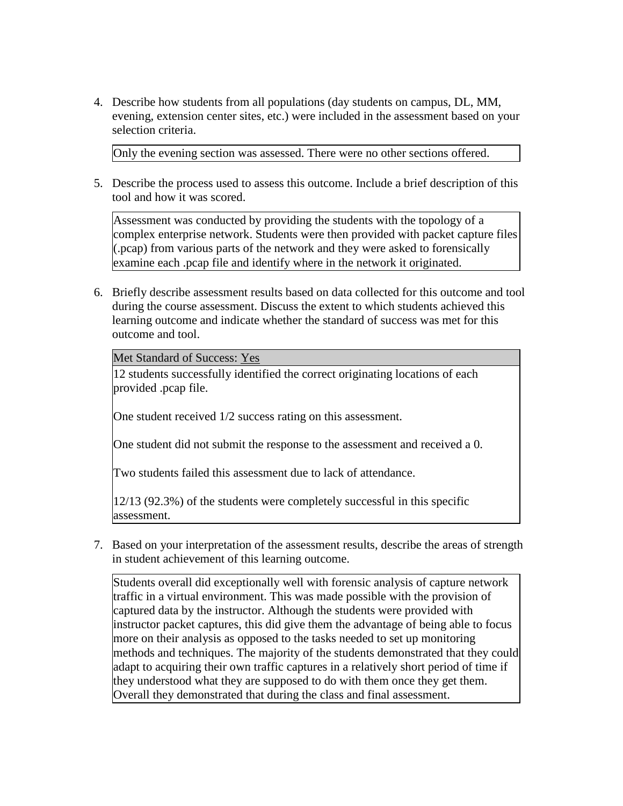4. Describe how students from all populations (day students on campus, DL, MM, evening, extension center sites, etc.) were included in the assessment based on your selection criteria.

Only the evening section was assessed. There were no other sections offered.

5. Describe the process used to assess this outcome. Include a brief description of this tool and how it was scored.

Assessment was conducted by providing the students with the topology of a complex enterprise network. Students were then provided with packet capture files (.pcap) from various parts of the network and they were asked to forensically examine each .pcap file and identify where in the network it originated.

6. Briefly describe assessment results based on data collected for this outcome and tool during the course assessment. Discuss the extent to which students achieved this learning outcome and indicate whether the standard of success was met for this outcome and tool.

Met Standard of Success: Yes

12 students successfully identified the correct originating locations of each provided .pcap file.

One student received 1/2 success rating on this assessment.

One student did not submit the response to the assessment and received a 0.

Two students failed this assessment due to lack of attendance.

12/13 (92.3%) of the students were completely successful in this specific assessment.

7. Based on your interpretation of the assessment results, describe the areas of strength in student achievement of this learning outcome.

Students overall did exceptionally well with forensic analysis of capture network traffic in a virtual environment. This was made possible with the provision of captured data by the instructor. Although the students were provided with instructor packet captures, this did give them the advantage of being able to focus more on their analysis as opposed to the tasks needed to set up monitoring methods and techniques. The majority of the students demonstrated that they could adapt to acquiring their own traffic captures in a relatively short period of time if they understood what they are supposed to do with them once they get them. Overall they demonstrated that during the class and final assessment.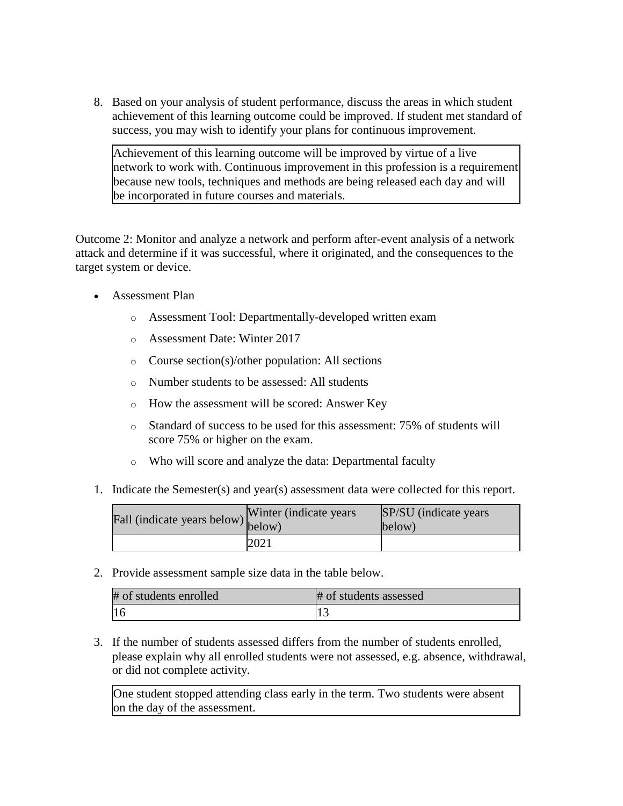8. Based on your analysis of student performance, discuss the areas in which student achievement of this learning outcome could be improved. If student met standard of success, you may wish to identify your plans for continuous improvement.

Achievement of this learning outcome will be improved by virtue of a live network to work with. Continuous improvement in this profession is a requirement because new tools, techniques and methods are being released each day and will be incorporated in future courses and materials.

Outcome 2: Monitor and analyze a network and perform after-event analysis of a network attack and determine if it was successful, where it originated, and the consequences to the target system or device.

- Assessment Plan
	- o Assessment Tool: Departmentally-developed written exam
	- o Assessment Date: Winter 2017
	- o Course section(s)/other population: All sections
	- o Number students to be assessed: All students
	- o How the assessment will be scored: Answer Key
	- o Standard of success to be used for this assessment: 75% of students will score 75% or higher on the exam.
	- o Who will score and analyze the data: Departmental faculty
- 1. Indicate the Semester(s) and year(s) assessment data were collected for this report.

|  | r'all (indicate years below) below) | Winter (indicate years) | <b>SP/SU</b> (indicate years) |
|--|-------------------------------------|-------------------------|-------------------------------|
|  |                                     |                         | below)                        |
|  |                                     | 2021                    |                               |

2. Provide assessment sample size data in the table below.

| # of students enrolled | # of students assessed |
|------------------------|------------------------|
| 16                     |                        |

3. If the number of students assessed differs from the number of students enrolled, please explain why all enrolled students were not assessed, e.g. absence, withdrawal, or did not complete activity.

One student stopped attending class early in the term. Two students were absent on the day of the assessment.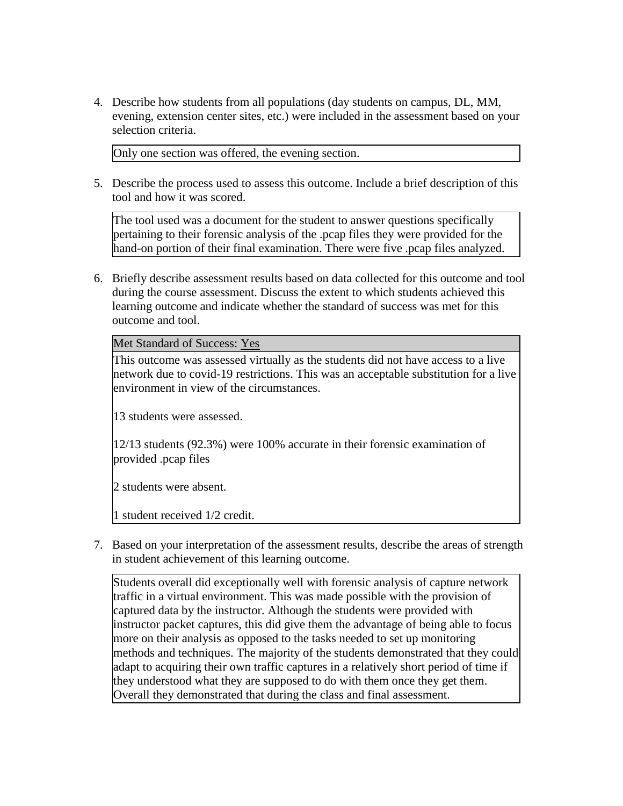4. Describe how students from all populations (day students on campus, DL, MM, evening, extension center sites, etc.) were included in the assessment based on your selection criteria.

Only one section was offered, the evening section.

5. Describe the process used to assess this outcome. Include a brief description of this tool and how it was scored.

The tool used was a document for the student to answer questions specifically pertaining to their forensic analysis of the .pcap files they were provided for the hand-on portion of their final examination. There were five .pcap files analyzed.

6. Briefly describe assessment results based on data collected for this outcome and tool during the course assessment. Discuss the extent to which students achieved this learning outcome and indicate whether the standard of success was met for this outcome and tool.

Met Standard of Success: Yes

This outcome was assessed virtually as the students did not have access to a live network due to covid-19 restrictions. This was an acceptable substitution for a live environment in view of the circumstances.

13 students were assessed.

12/13 students (92.3%) were 100% accurate in their forensic examination of provided .pcap files

2 students were absent.

1 student received 1/2 credit.

7. Based on your interpretation of the assessment results, describe the areas of strength in student achievement of this learning outcome.

Students overall did exceptionally well with forensic analysis of capture network traffic in a virtual environment. This was made possible with the provision of captured data by the instructor. Although the students were provided with instructor packet captures, this did give them the advantage of being able to focus more on their analysis as opposed to the tasks needed to set up monitoring methods and techniques. The majority of the students demonstrated that they could adapt to acquiring their own traffic captures in a relatively short period of time if they understood what they are supposed to do with them once they get them. Overall they demonstrated that during the class and final assessment.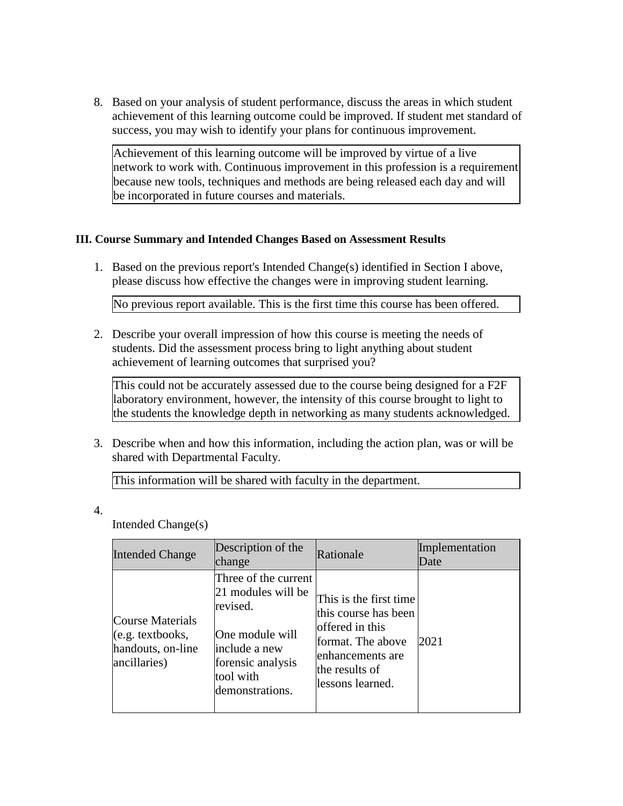8. Based on your analysis of student performance, discuss the areas in which student achievement of this learning outcome could be improved. If student met standard of success, you may wish to identify your plans for continuous improvement.

Achievement of this learning outcome will be improved by virtue of a live network to work with. Continuous improvement in this profession is a requirement because new tools, techniques and methods are being released each day and will be incorporated in future courses and materials.

## **III. Course Summary and Intended Changes Based on Assessment Results**

1. Based on the previous report's Intended Change(s) identified in Section I above, please discuss how effective the changes were in improving student learning.

No previous report available. This is the first time this course has been offered.

2. Describe your overall impression of how this course is meeting the needs of students. Did the assessment process bring to light anything about student achievement of learning outcomes that surprised you?

This could not be accurately assessed due to the course being designed for a F2F laboratory environment, however, the intensity of this course brought to light to the students the knowledge depth in networking as many students acknowledged.

3. Describe when and how this information, including the action plan, was or will be shared with Departmental Faculty.

This information will be shared with faculty in the department.

4.

Intended Change(s)

| <b>Intended Change</b>                                                                    | Description of the<br>change                                                                                                                    | Rationale                                                                                                                                        | Implementation<br>Date |
|-------------------------------------------------------------------------------------------|-------------------------------------------------------------------------------------------------------------------------------------------------|--------------------------------------------------------------------------------------------------------------------------------------------------|------------------------|
| <b>Course Materials</b><br>$(e.g. \text{textbooks},$<br>handouts, on-line<br>ancillaries) | Three of the current<br>21 modules will be<br>revised.<br>One module will<br>include a new<br>forensic analysis<br>tool with<br>demonstrations. | This is the first time<br>this course has been<br>offered in this<br>format. The above<br>enhancements are<br>the results of<br>lessons learned. | 2021                   |